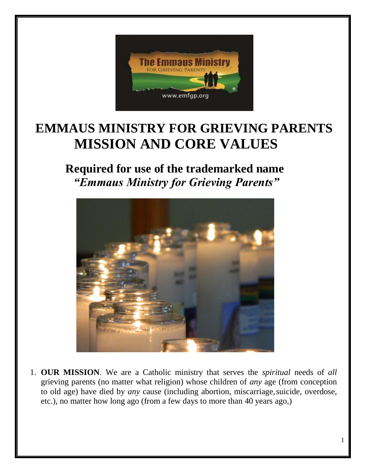

# **EMMAUS MINISTRY FOR GRIEVING PARENTS MISSION AND CORE VALUES**

# **Required for use of the trademarked name** *"Emmaus Ministry for Grieving Parents"*



1. **OUR MISSION**. We are a Catholic ministry that serves the *spiritual* needs of *all*  grieving parents (no matter what religion) whose children of *any* age (from conception to old age) have died by *any* cause (including abortion, miscarriage,suicide, overdose, etc.), no matter how long ago (from a few days to more than 40 years ago,)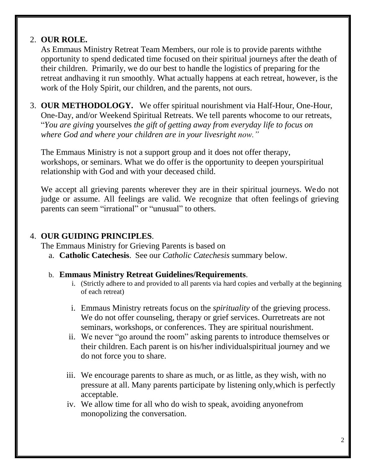## 2. **OUR ROLE.**

As Emmaus Ministry Retreat Team Members, our role is to provide parents withthe opportunity to spend dedicated time focused on their spiritual journeys after the death of their children. Primarily, we do our best to handle the logistics of preparing for the retreat andhaving it run smoothly. What actually happens at each retreat, however, is the work of the Holy Spirit, our children, and the parents, not ours.

3. **OUR METHODOLOGY.** We offer spiritual nourishment via Half-Hour, One-Hour, One-Day, and/or Weekend Spiritual Retreats. We tell parents whocome to our retreats, "*You are giving* yourselves *the gift of getting away from everyday life to focus on where God and where your children are in your livesright now."*

The Emmaus Ministry is not a support group and it does not offer therapy, workshops, or seminars. What we do offer is the opportunity to deepen yourspiritual relationship with God and with your deceased child.

We accept all grieving parents wherever they are in their spiritual journeys. We do not judge or assume. All feelings are valid. We recognize that often feelings of grieving parents can seem "irrational" or "unusual" to others.

## 4. **OUR GUIDING PRINCIPLES**.

The Emmaus Ministry for Grieving Parents is based on

a. **Catholic Catechesis**. See our *Catholic Catechesis* summary below.

#### b. **Emmaus Ministry Retreat Guidelines/Requirements**.

- i. (Strictly adhere to and provided to all parents via hard copies and verbally at the beginning of each retreat)
- i. Emmaus Ministry retreats focus on the *spirituality* of the grieving process. We do not offer counseling, therapy or grief services. Ourretreats are not seminars, workshops, or conferences. They are spiritual nourishment.
- ii. We never "go around the room" asking parents to introduce themselves or their children. Each parent is on his/her individualspiritual journey and we do not force you to share.
- iii. We encourage parents to share as much, or as little, as they wish, with no pressure at all. Many parents participate by listening only,which is perfectly acceptable.
- iv. We allow time for all who do wish to speak, avoiding anyonefrom monopolizing the conversation.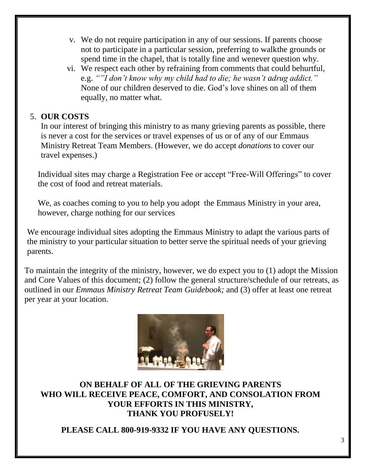- v. We do not require participation in any of our sessions. If parents choose not to participate in a particular session, preferring to walkthe grounds or spend time in the chapel, that is totally fine and wenever question why.
- vi. We respect each other by refraining from comments that could behurtful, e.g. *""I don't know why my child had to die; he wasn't adrug addict."* None of our children deserved to die. God's love shines on all of them equally, no matter what.

## 5. **OUR COSTS**

In our interest of bringing this ministry to as many grieving parents as possible, there is never a cost for the services or travel expenses of us or of any of our Emmaus Ministry Retreat Team Members. (However, we do accept *donations* to cover our travel expenses.)

Individual sites may charge a Registration Fee or accept "Free-Will Offerings" to cover the cost of food and retreat materials.

We, as coaches coming to you to help you adopt the Emmaus Ministry in your area, however, charge nothing for our services

We encourage individual sites adopting the Emmaus Ministry to adapt the various parts of the ministry to your particular situation to better serve the spiritual needs of your grieving parents.

To maintain the integrity of the ministry, however, we do expect you to (1) adopt the Mission and Core Values of this document; (2) follow the general structure/schedule of our retreats, as outlined in our *Emmaus Ministry Retreat Team Guidebook;* and (3) offer at least one retreat per year at your location.



**ON BEHALF OF ALL OF THE GRIEVING PARENTS WHO WILL RECEIVE PEACE, COMFORT, AND CONSOLATION FROM YOUR EFFORTS IN THIS MINISTRY, THANK YOU PROFUSELY!**

**PLEASE CALL 800-919-9332 IF YOU HAVE ANY QUESTIONS.**